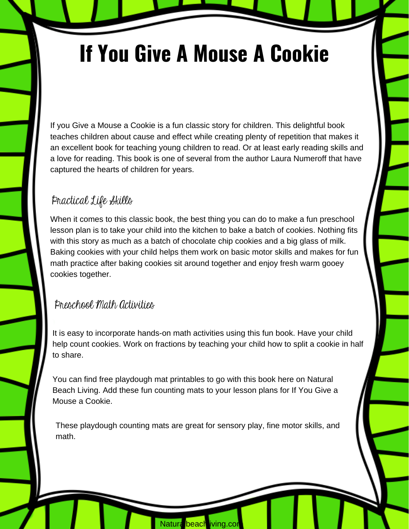# **If You Give A Mouse A Cookie**

If you Give a Mouse a Cookie is a fun classic story for children. This delightful book teaches children about cause and effect while creating plenty of repetition that makes it an excellent book for teaching young children to read. Or at least early reading skills and a love for reading. This book is one of several from the author Laura Numeroff that have captured the hearts of children for years.

## Practical Life Skills

When it comes to this classic book, the best thing you can do to make a fun preschool lesson plan is to take your child into the kitchen to bake a batch of cookies. Nothing fits with this story as much as a batch of chocolate chip cookies and a big glass of milk. Baking cookies with your child helps them work on basic motor skills and makes for fun math practice after baking cookies sit around together and enjoy fresh warm gooey cookies together.

#### Preschool Math Activities

It is easy to incorporate hands-on math activities using this fun book. Have your child help count cookies. Work on fractions by teaching your child how to split a cookie in half to share.

You can find free playdough mat printables to go with this book here on Natural Beach Living. Add these fun counting mats to your lesson plans for If You Give a Mouse a Cookie.

These playdough counting mats are great for sensory play, fine motor skills, and math.

Natura beach iving.com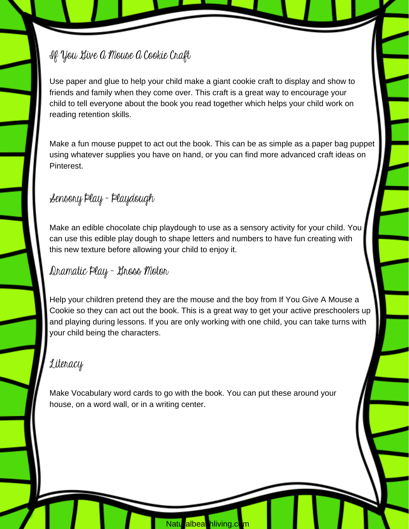If You Give A Mouse A Cookie Craft

Use paper and glue to help your child make a giant cookie craft to display and show to friends and family when they come over. This craft is a great way to encourage your child to tell everyone about the book you read together which helps your child work on reading retention skills.

Make a fun mouse puppet to act out the book. This can be as simple as a paper bag puppet using whatever supplies you have on hand, or you can find more advanced craft ideas on Pinterest.

Sensory Play - Playdough

Make an edible chocolate chip playdough to use as a sensory activity for your child. You can use this edible play dough to shape letters and numbers to have fun creating with this new texture before allowing your child to enjoy it.

Dramatic Play - Gross Motor

Help your children pretend they are the mouse and the boy from If You Give A Mouse a Cookie so they can act out the book. This is a great way to get your active preschoolers up and playing during lessons. If you are only working with one child, you can take turns with your child being the characters.

### Literacy

Make Vocabulary word cards to go with the book. You can put these around your house, on a word wall, or in a writing center.

Natu albea hliving.c